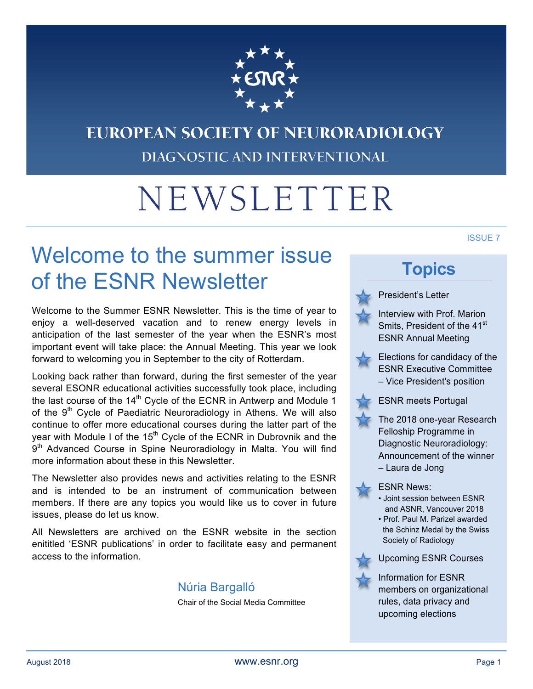

# **EUROPEAN SOCIETY OF NEURORADIOLOGY** DIAGNOSTIC AND INTERVENTIONAL

# NEWSLETTER

# Welcome to the summer issue of the ESNR Newsletter

Welcome to the Summer ESNR Newsletter. This is the time of year to enjoy a well-deserved vacation and to renew energy levels in anticipation of the last semester of the year when the ESNR's most important event will take place: the Annual Meeting. This year we look forward to welcoming you in September to the city of Rotterdam.

Looking back rather than forward, during the first semester of the year several ESONR educational activities successfully took place, including the last course of the  $14<sup>th</sup>$  Cycle of the ECNR in Antwerp and Module 1 of the 9<sup>th</sup> Cycle of Paediatric Neuroradiology in Athens. We will also continue to offer more educational courses during the latter part of the year with Module I of the  $15<sup>th</sup>$  Cycle of the ECNR in Dubrovnik and the 9<sup>th</sup> Advanced Course in Spine Neuroradiology in Malta. You will find more information about these in this Newsletter.

The Newsletter also provides news and activities relating to the ESNR and is intended to be an instrument of communication between members. If there are any topics you would like us to cover in future issues, please do let us know.

All Newsletters are archived on the ESNR website in the section enititled 'ESNR publications' in order to facilitate easy and permanent access to the information.

#### Núria Bargalló

Chair of the Social Media Committee

# **Topics**

ISSUE 7



#### President's Letter

Interview with Prof. Marion Smits, President of the 41<sup>st</sup> ESNR Annual Meeting

Elections for candidacy of the ESNR Executive Committee – Vice President's position



ESNR meets Portugal

The 2018 one-year Research Felloship Programme in Diagnostic Neuroradiology: Announcement of the winner – Laura de Jong

#### ESNR News:



• Prof. Paul M. Parizel awarded the Schinz Medal by the Swiss Society of Radiology



Upcoming ESNR Courses

Information for ESNR members on organizational rules, data privacy and upcoming elections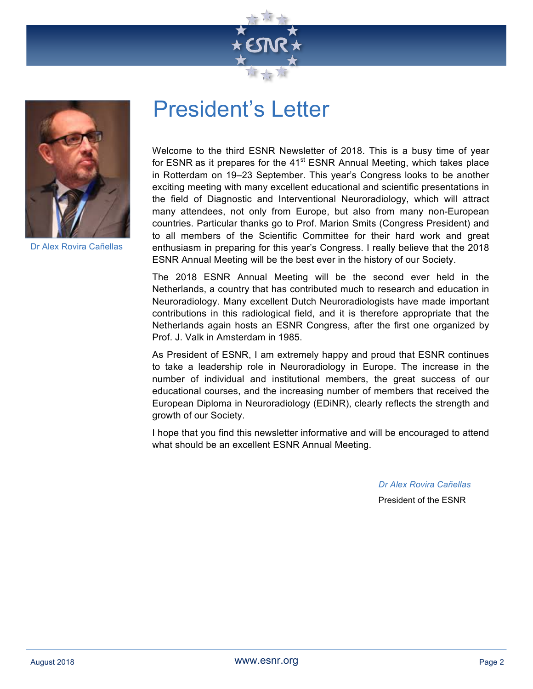



Dr Alex Rovira Cañellas

# President's Letter

Welcome to the third ESNR Newsletter of 2018. This is a busy time of year for ESNR as it prepares for the  $41<sup>st</sup>$  ESNR Annual Meeting, which takes place in Rotterdam on 19–23 September. This year's Congress looks to be another exciting meeting with many excellent educational and scientific presentations in the field of Diagnostic and Interventional Neuroradiology, which will attract many attendees, not only from Europe, but also from many non-European countries. Particular thanks go to Prof. Marion Smits (Congress President) and to all members of the Scientific Committee for their hard work and great enthusiasm in preparing for this year's Congress. I really believe that the 2018 ESNR Annual Meeting will be the best ever in the history of our Society.

The 2018 ESNR Annual Meeting will be the second ever held in the Netherlands, a country that has contributed much to research and education in Neuroradiology. Many excellent Dutch Neuroradiologists have made important contributions in this radiological field, and it is therefore appropriate that the Netherlands again hosts an ESNR Congress, after the first one organized by Prof. J. Valk in Amsterdam in 1985.

As President of ESNR, I am extremely happy and proud that ESNR continues to take a leadership role in Neuroradiology in Europe. The increase in the number of individual and institutional members, the great success of our educational courses, and the increasing number of members that received the European Diploma in Neuroradiology (EDiNR), clearly reflects the strength and growth of our Society.

I hope that you find this newsletter informative and will be encouraged to attend what should be an excellent ESNR Annual Meeting.

> *Dr Alex Rovira Cañellas* President of the ESNR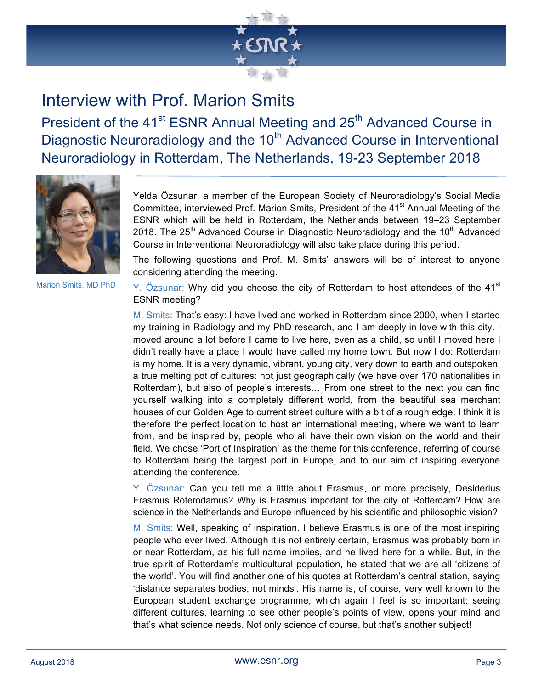

### Interview with Prof. Marion Smits

President of the 41<sup>st</sup> ESNR Annual Meeting and 25<sup>th</sup> Advanced Course in Diagnostic Neuroradiology and the 10<sup>th</sup> Advanced Course in Interventional Neuroradiology in Rotterdam, The Netherlands, 19-23 September 2018



Marion Smits, MD PhD

Yelda Özsunar, a member of the European Society of Neuroradiology's Social Media Committee, interviewed Prof. Marion Smits, President of the 41<sup>st</sup> Annual Meeting of the ESNR which will be held in Rotterdam, the Netherlands between 19–23 September 2018. The  $25<sup>th</sup>$  Advanced Course in Diagnostic Neuroradiology and the 10<sup>th</sup> Advanced Course in Interventional Neuroradiology will also take place during this period.

The following questions and Prof. M. Smits' answers will be of interest to anyone considering attending the meeting.

Y. Özsunar: Why did you choose the city of Rotterdam to host attendees of the  $41<sup>st</sup>$ ESNR meeting?

M. Smits: That's easy: I have lived and worked in Rotterdam since 2000, when I started my training in Radiology and my PhD research, and I am deeply in love with this city. I moved around a lot before I came to live here, even as a child, so until I moved here I didn't really have a place I would have called my home town. But now I do: Rotterdam is my home. It is a very dynamic, vibrant, young city, very down to earth and outspoken, a true melting pot of cultures: not just geographically (we have over 170 nationalities in Rotterdam), but also of people's interests… From one street to the next you can find yourself walking into a completely different world, from the beautiful sea merchant houses of our Golden Age to current street culture with a bit of a rough edge. I think it is therefore the perfect location to host an international meeting, where we want to learn from, and be inspired by, people who all have their own vision on the world and their field. We chose 'Port of Inspiration' as the theme for this conference, referring of course to Rotterdam being the largest port in Europe, and to our aim of inspiring everyone attending the conference.

Y. Özsunar: Can you tell me a little about Erasmus, or more precisely, Desiderius Erasmus Roterodamus? Why is Erasmus important for the city of Rotterdam? How are science in the Netherlands and Europe influenced by his scientific and philosophic vision?

M. Smits: Well, speaking of inspiration. I believe Erasmus is one of the most inspiring people who ever lived. Although it is not entirely certain, Erasmus was probably born in or near Rotterdam, as his full name implies, and he lived here for a while. But, in the true spirit of Rotterdam's multicultural population, he stated that we are all 'citizens of the world'. You will find another one of his quotes at Rotterdam's central station, saying 'distance separates bodies, not minds'. His name is, of course, very well known to the European student exchange programme, which again I feel is so important: seeing different cultures, learning to see other people's points of view, opens your mind and that's what science needs. Not only science of course, but that's another subject!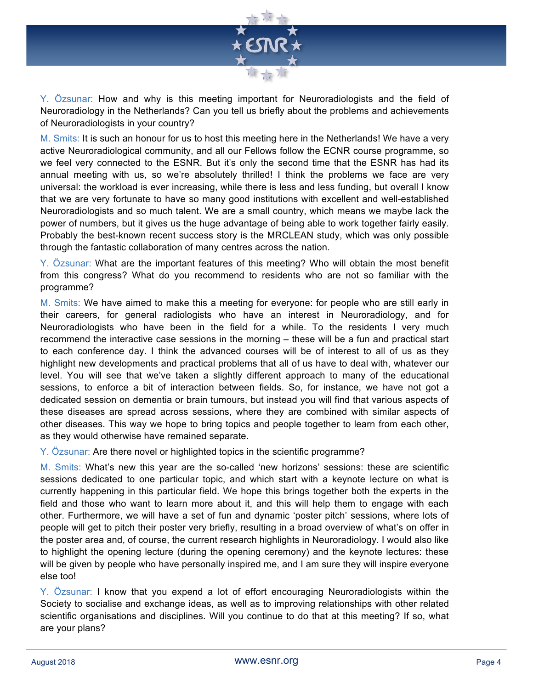

Y. Özsunar: How and why is this meeting important for Neuroradiologists and the field of Neuroradiology in the Netherlands? Can you tell us briefly about the problems and achievements of Neuroradiologists in your country?

M. Smits: It is such an honour for us to host this meeting here in the Netherlands! We have a very active Neuroradiological community, and all our Fellows follow the ECNR course programme, so we feel very connected to the ESNR. But it's only the second time that the ESNR has had its annual meeting with us, so we're absolutely thrilled! I think the problems we face are very universal: the workload is ever increasing, while there is less and less funding, but overall I know that we are very fortunate to have so many good institutions with excellent and well-established Neuroradiologists and so much talent. We are a small country, which means we maybe lack the power of numbers, but it gives us the huge advantage of being able to work together fairly easily. Probably the best-known recent success story is the MRCLEAN study, which was only possible through the fantastic collaboration of many centres across the nation.

Y. Özsunar: What are the important features of this meeting? Who will obtain the most benefit from this congress? What do you recommend to residents who are not so familiar with the programme?

M. Smits: We have aimed to make this a meeting for everyone: for people who are still early in their careers, for general radiologists who have an interest in Neuroradiology, and for Neuroradiologists who have been in the field for a while. To the residents I very much recommend the interactive case sessions in the morning – these will be a fun and practical start to each conference day. I think the advanced courses will be of interest to all of us as they highlight new developments and practical problems that all of us have to deal with, whatever our level. You will see that we've taken a slightly different approach to many of the educational sessions, to enforce a bit of interaction between fields. So, for instance, we have not got a dedicated session on dementia or brain tumours, but instead you will find that various aspects of these diseases are spread across sessions, where they are combined with similar aspects of other diseases. This way we hope to bring topics and people together to learn from each other, as they would otherwise have remained separate.

Y. Özsunar: Are there novel or highlighted topics in the scientific programme?

M. Smits: What's new this year are the so-called 'new horizons' sessions: these are scientific sessions dedicated to one particular topic, and which start with a keynote lecture on what is currently happening in this particular field. We hope this brings together both the experts in the field and those who want to learn more about it, and this will help them to engage with each other. Furthermore, we will have a set of fun and dynamic 'poster pitch' sessions, where lots of people will get to pitch their poster very briefly, resulting in a broad overview of what's on offer in the poster area and, of course, the current research highlights in Neuroradiology. I would also like to highlight the opening lecture (during the opening ceremony) and the keynote lectures: these will be given by people who have personally inspired me, and I am sure they will inspire everyone else too!

Y. Özsunar: I know that you expend a lot of effort encouraging Neuroradiologists within the Society to socialise and exchange ideas, as well as to improving relationships with other related scientific organisations and disciplines. Will you continue to do that at this meeting? If so, what are your plans?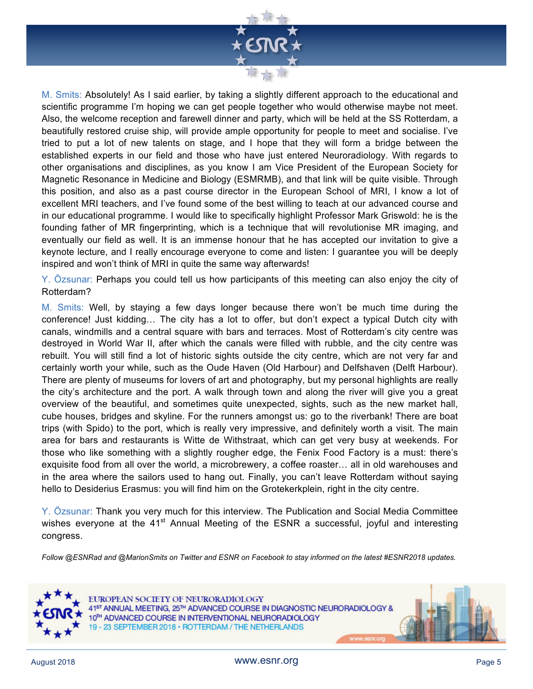

M. Smits: Absolutely! As I said earlier, by taking a slightly different approach to the educational and scientific programme I'm hoping we can get people together who would otherwise maybe not meet. Also, the welcome reception and farewell dinner and party, which will be held at the SS Rotterdam, a beautifully restored cruise ship, will provide ample opportunity for people to meet and socialise. I've tried to put a lot of new talents on stage, and I hope that they will form a bridge between the established experts in our field and those who have just entered Neuroradiology. With regards to other organisations and disciplines, as you know I am Vice President of the European Society for Magnetic Resonance in Medicine and Biology (ESMRMB), and that link will be quite visible. Through this position, and also as a past course director in the European School of MRI, I know a lot of excellent MRI teachers, and I've found some of the best willing to teach at our advanced course and in our educational programme. I would like to specifically highlight Professor Mark Griswold: he is the founding father of MR fingerprinting, which is a technique that will revolutionise MR imaging, and eventually our field as well. It is an immense honour that he has accepted our invitation to give a keynote lecture, and I really encourage everyone to come and listen: I guarantee you will be deeply inspired and won't think of MRI in quite the same way afterwards!

Y. Özsunar: Perhaps you could tell us how participants of this meeting can also enjoy the city of Rotterdam?

M. Smits: Well, by staying a few days longer because there won't be much time during the conference! Just kidding… The city has a lot to offer, but don't expect a typical Dutch city with canals, windmills and a central square with bars and terraces. Most of Rotterdam's city centre was destroyed in World War II, after which the canals were filled with rubble, and the city centre was rebuilt. You will still find a lot of historic sights outside the city centre, which are not very far and certainly worth your while, such as the Oude Haven (Old Harbour) and Delfshaven (Delft Harbour). There are plenty of museums for lovers of art and photography, but my personal highlights are really the city's architecture and the port. A walk through town and along the river will give you a great overview of the beautiful, and sometimes quite unexpected, sights, such as the new market hall, cube houses, bridges and skyline. For the runners amongst us: go to the riverbank! There are boat trips (with Spido) to the port, which is really very impressive, and definitely worth a visit. The main area for bars and restaurants is Witte de Withstraat, which can get very busy at weekends. For those who like something with a slightly rougher edge, the Fenix Food Factory is a must: there's exquisite food from all over the world, a microbrewery, a coffee roaster… all in old warehouses and in the area where the sailors used to hang out. Finally, you can't leave Rotterdam without saying hello to Desiderius Erasmus: you will find him on the Grotekerkplein, right in the city centre.

Y. Özsunar: Thank you very much for this interview. The Publication and Social Media Committee wishes everyone at the  $41<sup>st</sup>$  Annual Meeting of the ESNR a successful, joyful and interesting congress.

*Follow @ESNRad and @MarionSmits on Twitter and ESNR on Facebook to stay informed on the latest #ESNR2018 updates.*



EUROPEAN SOCIETY OF NEURORADIOLOGY 41<sup>ST</sup> ANNUAL MEETING, 25<sup>TH</sup> ADVANCED COURSE IN DIAGNOSTIC NEURORADIOLOGY & 10TH ADVANCED COURSE IN INTERVENTIONAL NEURORADIOLOGY - 23 SEPTEMBER 2018 · ROTTERDAM / THE NETHERLANDS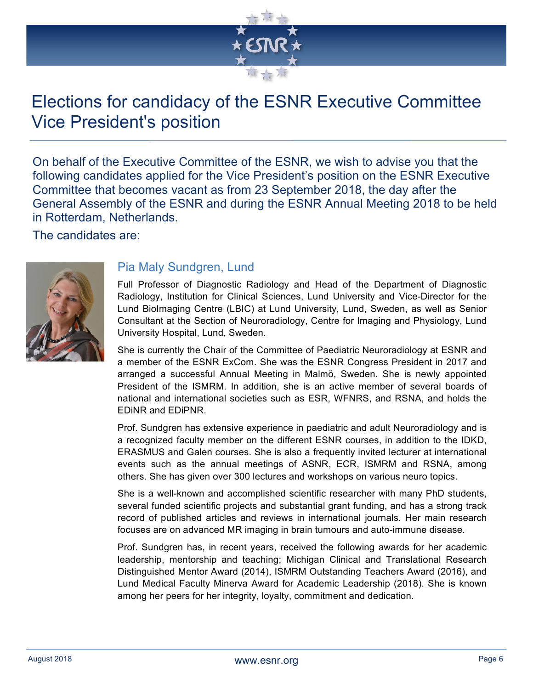

### Elections for candidacy of the ESNR Executive Committee Vice President's position

On behalf of the Executive Committee of the ESNR, we wish to advise you that the following candidates applied for the Vice President's position on the ESNR Executive Committee that becomes vacant as from 23 September 2018, the day after the General Assembly of the ESNR and during the ESNR Annual Meeting 2018 to be held in Rotterdam, Netherlands.

The candidates are:



#### Pia Maly Sundgren, Lund

Full Professor of Diagnostic Radiology and Head of the Department of Diagnostic Radiology, Institution for Clinical Sciences, Lund University and Vice-Director for the Lund BioImaging Centre (LBIC) at Lund University, Lund, Sweden, as well as Senior Consultant at the Section of Neuroradiology, Centre for Imaging and Physiology, Lund University Hospital, Lund, Sweden.

She is currently the Chair of the Committee of Paediatric Neuroradiology at ESNR and a member of the ESNR ExCom. She was the ESNR Congress President in 2017 and arranged a successful Annual Meeting in Malmö, Sweden. She is newly appointed President of the ISMRM. In addition, she is an active member of several boards of national and international societies such as ESR, WFNRS, and RSNA, and holds the EDiNR and EDiPNR.

Prof. Sundgren has extensive experience in paediatric and adult Neuroradiology and is a recognized faculty member on the different ESNR courses, in addition to the IDKD, ERASMUS and Galen courses. She is also a frequently invited lecturer at international events such as the annual meetings of ASNR, ECR, ISMRM and RSNA, among others. She has given over 300 lectures and workshops on various neuro topics.

She is a well-known and accomplished scientific researcher with many PhD students, several funded scientific projects and substantial grant funding, and has a strong track record of published articles and reviews in international journals. Her main research focuses are on advanced MR imaging in brain tumours and auto-immune disease.

Prof. Sundgren has, in recent years, received the following awards for her academic leadership, mentorship and teaching; Michigan Clinical and Translational Research Distinguished Mentor Award (2014), ISMRM Outstanding Teachers Award (2016), and Lund Medical Faculty Minerva Award for Academic Leadership (2018). She is known among her peers for her integrity, loyalty, commitment and dedication.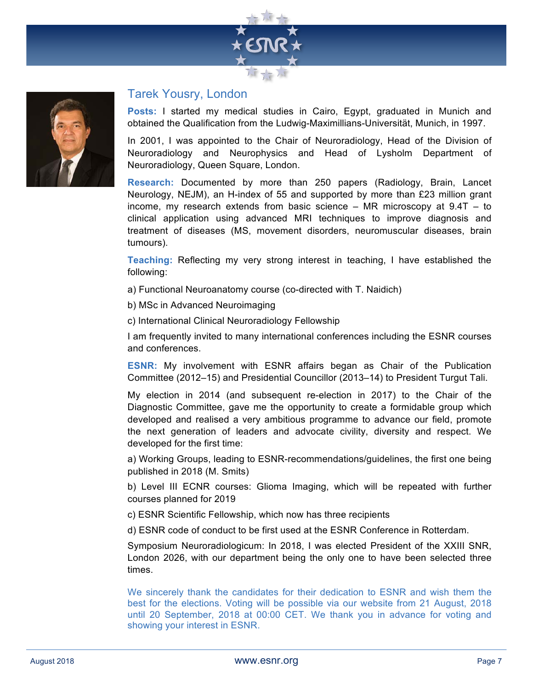



#### Tarek Yousry, London

**Posts:** I started my medical studies in Cairo, Egypt, graduated in Munich and obtained the Qualification from the Ludwig-Maximillians-Universität, Munich, in 1997.

In 2001, I was appointed to the Chair of Neuroradiology, Head of the Division of Neuroradiology and Neurophysics and Head of Lysholm Department of Neuroradiology, Queen Square, London.

**Research:** Documented by more than 250 papers (Radiology, Brain, Lancet Neurology, NEJM), an H-index of 55 and supported by more than £23 million grant income, my research extends from basic science – MR microscopy at 9.4T – to clinical application using advanced MRI techniques to improve diagnosis and treatment of diseases (MS, movement disorders, neuromuscular diseases, brain tumours).

**Teaching:** Reflecting my very strong interest in teaching, I have established the following:

a) Functional Neuroanatomy course (co-directed with T. Naidich)

b) MSc in Advanced Neuroimaging

c) International Clinical Neuroradiology Fellowship

I am frequently invited to many international conferences including the ESNR courses and conferences.

**ESNR:** My involvement with ESNR affairs began as Chair of the Publication Committee (2012–15) and Presidential Councillor (2013–14) to President Turgut Tali.

My election in 2014 (and subsequent re-election in 2017) to the Chair of the Diagnostic Committee, gave me the opportunity to create a formidable group which developed and realised a very ambitious programme to advance our field, promote the next generation of leaders and advocate civility, diversity and respect. We developed for the first time:

a) Working Groups, leading to ESNR-recommendations/guidelines, the first one being published in 2018 (M. Smits)

b) Level III ECNR courses: Glioma Imaging, which will be repeated with further courses planned for 2019

c) ESNR Scientific Fellowship, which now has three recipients

d) ESNR code of conduct to be first used at the ESNR Conference in Rotterdam.

Symposium Neuroradiologicum: In 2018, I was elected President of the XXIII SNR, London 2026, with our department being the only one to have been selected three times.

We sincerely thank the candidates for their dedication to ESNR and wish them the best for the elections. Voting will be possible via our website from 21 August, 2018 until 20 September, 2018 at 00:00 CET. We thank you in advance for voting and showing your interest in ESNR.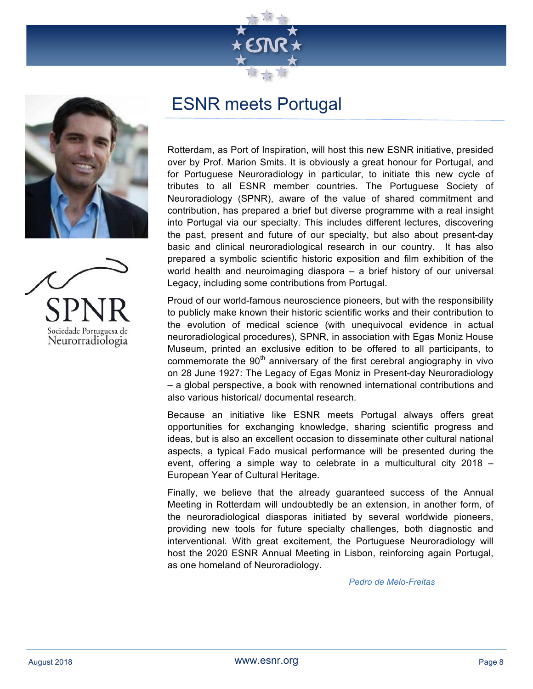





### ESNR meets Portugal

Rotterdam, as Port of Inspiration, will host this new ESNR initiative, presided over by Prof. Marion Smits. It is obviously a great honour for Portugal, and for Portuguese Neuroradiology in particular, to initiate this new cycle of tributes to all ESNR member countries. The Portuguese Society of Neuroradiology (SPNR), aware of the value of shared commitment and contribution, has prepared a brief but diverse programme with a real insight into Portugal via our specialty. This includes different lectures, discovering the past, present and future of our specialty, but also about present-day basic and clinical neuroradiological research in our country. It has also prepared a symbolic scientific historic exposition and film exhibition of the world health and neuroimaging diaspora – a brief history of our universal Legacy, including some contributions from Portugal.

Proud of our world-famous neuroscience pioneers, but with the responsibility to publicly make known their historic scientific works and their contribution to the evolution of medical science (with unequivocal evidence in actual neuroradiological procedures), SPNR, in association with Egas Moniz House Museum, printed an exclusive edition to be offered to all participants, to commemorate the  $90<sup>th</sup>$  anniversary of the first cerebral angiography in vivo on 28 June 1927: The Legacy of Egas Moniz in Present-day Neuroradiology – a global perspective, a book with renowned international contributions and also various historical/ documental research.

Because an initiative like ESNR meets Portugal always offers great opportunities for exchanging knowledge, sharing scientific progress and ideas, but is also an excellent occasion to disseminate other cultural national aspects, a typical Fado musical performance will be presented during the event, offering a simple way to celebrate in a multicultural city 2018 – European Year of Cultural Heritage.

Finally, we believe that the already guaranteed success of the Annual Meeting in Rotterdam will undoubtedly be an extension, in another form, of the neuroradiological diasporas initiated by several worldwide pioneers, providing new tools for future specialty challenges, both diagnostic and interventional. With great excitement, the Portuguese Neuroradiology will host the 2020 ESNR Annual Meeting in Lisbon, reinforcing again Portugal, as one homeland of Neuroradiology.

 *Pedro de Melo-Freitas*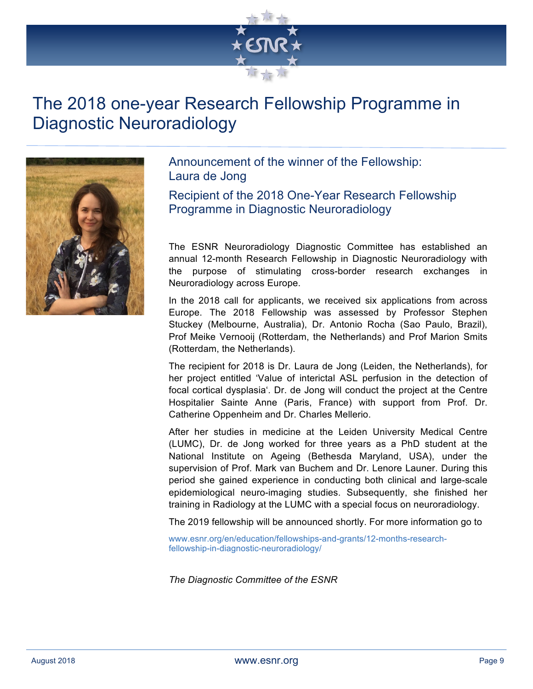

### The 2018 one-year Research Fellowship Programme in Diagnostic Neuroradiology



Announcement of the winner of the Fellowship: Laura de Jong

Recipient of the 2018 One-Year Research Fellowship Programme in Diagnostic Neuroradiology

The ESNR Neuroradiology Diagnostic Committee has established an annual 12-month Research Fellowship in Diagnostic Neuroradiology with the purpose of stimulating cross-border research exchanges in Neuroradiology across Europe.

In the 2018 call for applicants, we received six applications from across Europe. The 2018 Fellowship was assessed by Professor Stephen Stuckey (Melbourne, Australia), Dr. Antonio Rocha (Sao Paulo, Brazil), Prof Meike Vernooij (Rotterdam, the Netherlands) and Prof Marion Smits (Rotterdam, the Netherlands).

The recipient for 2018 is Dr. Laura de Jong (Leiden, the Netherlands), for her project entitled 'Value of interictal ASL perfusion in the detection of focal cortical dysplasia'. Dr. de Jong will conduct the project at the Centre Hospitalier Sainte Anne (Paris, France) with support from Prof. Dr. Catherine Oppenheim and Dr. Charles Mellerio.

After her studies in medicine at the Leiden University Medical Centre (LUMC), Dr. de Jong worked for three years as a PhD student at the National Institute on Ageing (Bethesda Maryland, USA), under the supervision of Prof. Mark van Buchem and Dr. Lenore Launer. During this period she gained experience in conducting both clinical and large-scale epidemiological neuro-imaging studies. Subsequently, she finished her training in Radiology at the LUMC with a special focus on neuroradiology.

The 2019 fellowship will be announced shortly. For more information go to

www.esnr.org/en/education/fellowships-and-grants/12-months-researchfellowship-in-diagnostic-neuroradiology/

*The Diagnostic Committee of the ESNR*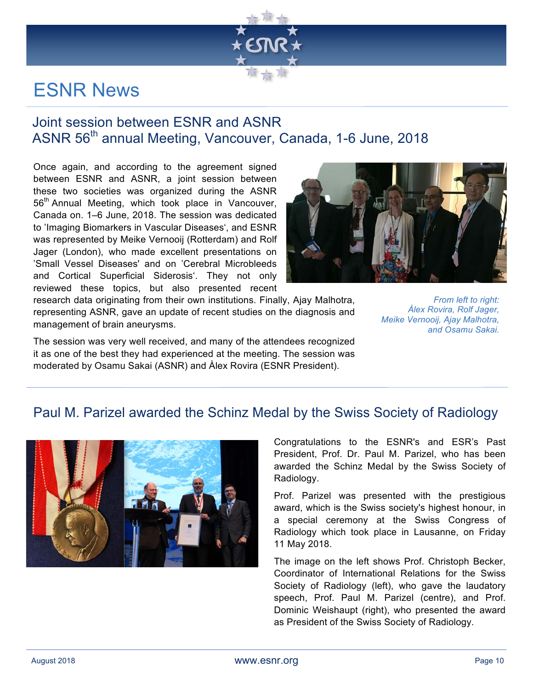

# ESNR News

#### Joint session between ESNR and ASNR ASNR 56<sup>th</sup> annual Meeting, Vancouver, Canada, 1-6 June, 2018

Once again, and according to the agreement signed between ESNR and ASNR, a joint session between these two societies was organized during the ASNR  $56<sup>th</sup>$  Annual Meeting, which took place in Vancouver, Canada on. 1–6 June, 2018. The session was dedicated to 'Imaging Biomarkers in Vascular Diseases', and ESNR was represented by Meike Vernooij (Rotterdam) and Rolf Jager (London), who made excellent presentations on 'Small Vessel Diseases' and on 'Cerebral Microbleeds and Cortical Superficial Siderosis'. They not only reviewed these topics, but also presented recent



research data originating from their own institutions. Finally, Ajay Malhotra, representing ASNR, gave an update of recent studies on the diagnosis and management of brain aneurysms.

*From left to right: Àlex Rovira, Rolf Jager, Meike Vernooij, Ajay Malhotra, and Osamu Sakai.*

The session was very well received, and many of the attendees recognized it as one of the best they had experienced at the meeting. The session was moderated by Osamu Sakai (ASNR) and Àlex Rovira (ESNR President).

#### Paul M. Parizel awarded the Schinz Medal by the Swiss Society of Radiology



Congratulations to the ESNR's and ESR's Past President, Prof. Dr. Paul M. Parizel, who has been awarded the Schinz Medal by the Swiss Society of Radiology.

Prof. Parizel was presented with the prestigious award, which is the Swiss society's highest honour, in a special ceremony at the Swiss Congress of Radiology which took place in Lausanne, on Friday 11 May 2018.

The image on the left shows Prof. Christoph Becker, Coordinator of International Relations for the Swiss Society of Radiology (left), who gave the laudatory speech, Prof. Paul M. Parizel (centre), and Prof. Dominic Weishaupt (right), who presented the award as President of the Swiss Society of Radiology.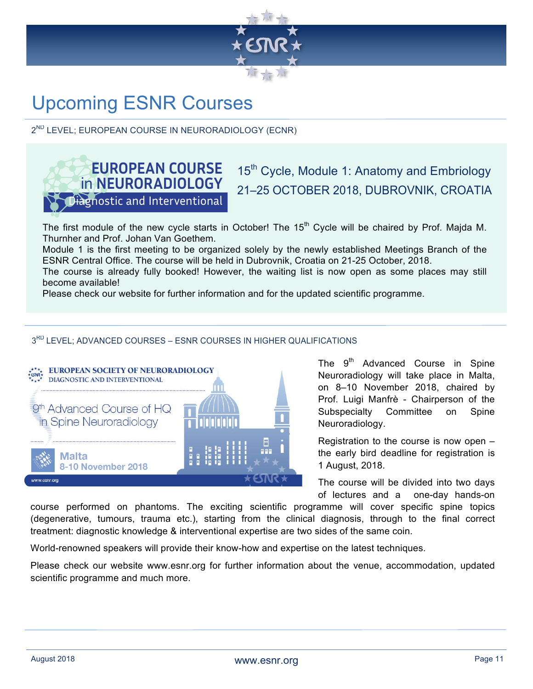

# Upcoming ESNR Courses

#### 2<sup>ND</sup> LEVEL: EUROPEAN COURSE IN NEURORADIOLOGY (ECNR)



15<sup>th</sup> Cycle, Module 1: Anatomy and Embriology 21–25 OCTOBER 2018, DUBROVNIK, CROATIA

The first module of the new cycle starts in October! The  $15<sup>th</sup>$  Cycle will be chaired by Prof. Majda M. Thurnher and Prof. Johan Van Goethem.

Module 1 is the first meeting to be organized solely by the newly established Meetings Branch of the ESNR Central Office. The course will be held in Dubrovnik, Croatia on 21-25 October, 2018.

The course is already fully booked! However, the waiting list is now open as some places may still become available!

Please check our website for further information and for the updated scientific programme.

#### 3<sup>RD</sup> LEVEL; ADVANCED COURSES – ESNR COURSES IN HIGHER QUALIFICATIONS



The 9<sup>th</sup> Advanced Course in Spine Neuroradiology will take place in Malta, on 8–10 November 2018, chaired by Prof. Luigi Manfrè - Chairperson of the Subspecialty Committee on Spine Neuroradiology.

Registration to the course is now open – the early bird deadline for registration is 1 August, 2018.

The course will be divided into two days of lectures and a one-day hands-on

course performed on phantoms. The exciting scientific programme will cover specific spine topics (degenerative, tumours, trauma etc.), starting from the clinical diagnosis, through to the final correct treatment: diagnostic knowledge & interventional expertise are two sides of the same coin.

World-renowned speakers will provide their know-how and expertise on the latest techniques.

Please check our website www.esnr.org for further information about the venue, accommodation, updated scientific programme and much more.